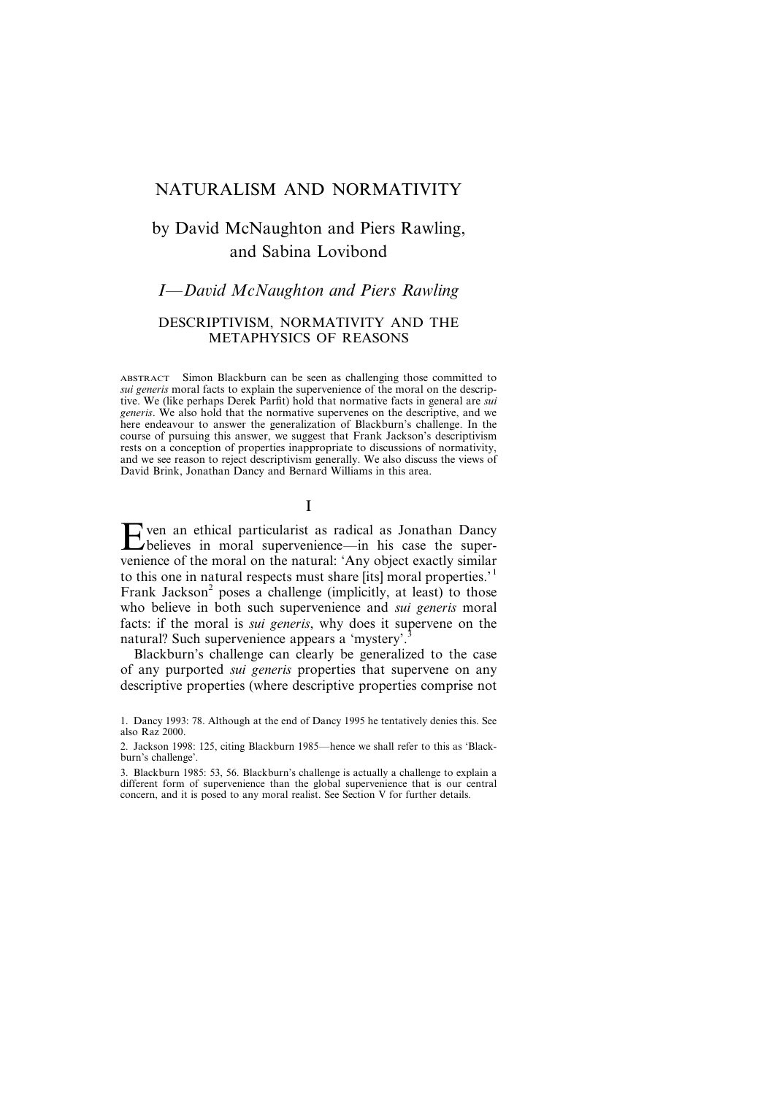# NATURALISM AND NORMATIVITY

# by David McNaughton and Piers Rawling, and Sabina Lovibond

## *I*—*Da*û*id McNaughton and Piers Rawling*

## DESCRIPTIVISM, NORMATIVITY AND THE METAPHYSICS OF REASONS

ABSTRACT Simon Blackburn can be seen as challenging those committed to *sui generis* moral facts to explain the supervenience of the moral on the descriptive. We (like perhaps Derek Parfit) hold that normative facts in general are *sui generis*. We also hold that the normative supervenes on the descriptive, and we here endeavour to answer the generalization of Blackburn's challenge. In the course of pursuing this answer, we suggest that Frank Jackson's descriptivism rests on a conception of properties inappropriate to discussions of normativity, and we see reason to reject descriptivism generally. We also discuss the views of David Brink, Jonathan Dancy and Bernard Williams in this area.

#### I

Even an ethical particularist as radical as Jonathan Dancy believes in moral supervenience—in his case the supervenience of the moral on the natural: 'Any object exactly similar to this one in natural respects must share [its] moral properties.<sup>'1</sup> Frank Jackson<sup>2</sup> poses a challenge (implicitly, at least) to those who believe in both such supervenience and *sui generis* moral facts: if the moral is *sui generis*, why does it supervene on the natural? Such supervenience appears a 'mystery'.<sup>3</sup>

Blackburn's challenge can clearly be generalized to the case of any purported *sui generis* properties that supervene on any descriptive properties (where descriptive properties comprise not

<sup>1.</sup> Dancy 1993: 78. Although at the end of Dancy 1995 he tentatively denies this. See also Raz 2000.

<sup>2.</sup> Jackson 1998: 125, citing Blackburn 1985—hence we shall refer to this as 'Blackburn's challenge'.

<sup>3.</sup> Blackburn 1985: 53, 56. Blackburn's challenge is actually a challenge to explain a different form of supervenience than the global supervenience that is our central concern, and it is posed to any moral realist. See Section V for further details.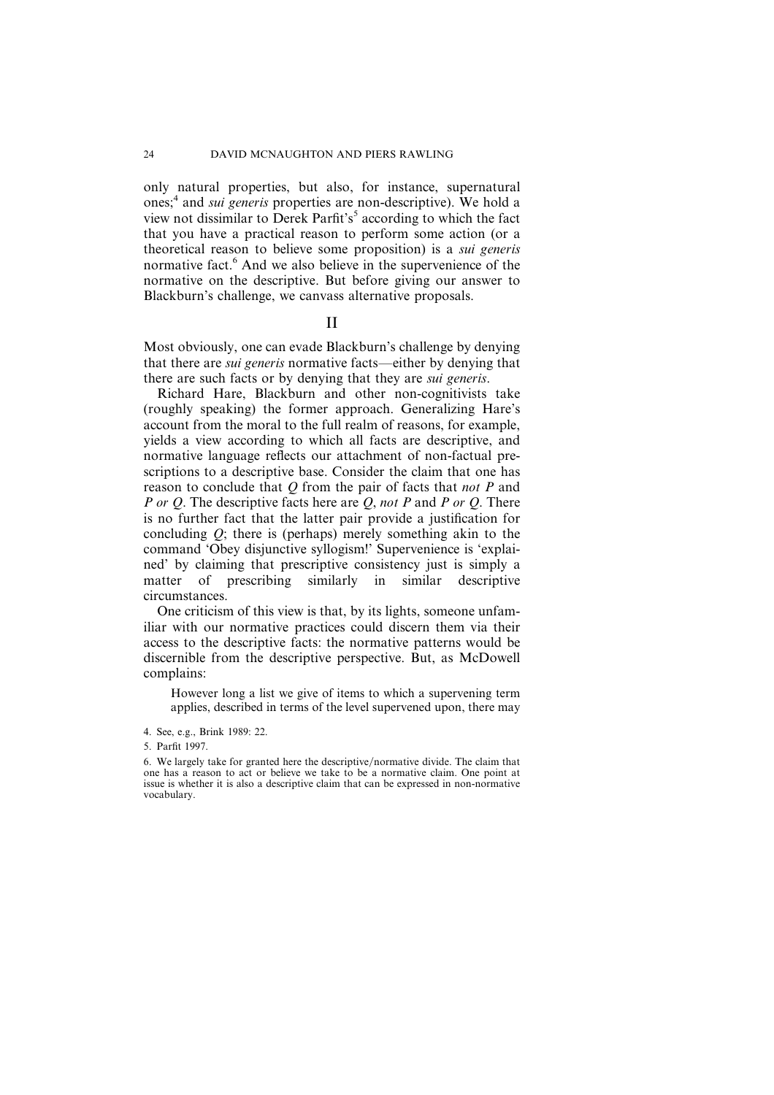only natural properties, but also, for instance, supernatural ones;4 and *sui generis* properties are non-descriptive). We hold a view not dissimilar to Derek Parfit's <sup>5</sup> according to which the fact that you have a practical reason to perform some action (or a theoretical reason to believe some proposition) is a *sui generis* normative fact.<sup>6</sup> And we also believe in the supervenience of the normative on the descriptive. But before giving our answer to Blackburn's challenge, we canvass alternative proposals.

#### II

Most obviously, one can evade Blackburn's challenge by denying that there are *sui generis* normative facts—either by denying that there are such facts or by denying that they are *sui generis*.

Richard Hare, Blackburn and other non-cognitivists take (roughly speaking) the former approach. Generalizing Hare's account from the moral to the full realm of reasons, for example, yields a view according to which all facts are descriptive, and normative language reflects our attachment of non-factual prescriptions to a descriptive base. Consider the claim that one has reason to conclude that *Q* from the pair of facts that *not P* and *P or Q*. The descriptive facts here are *Q*, *not P* and *P or Q*. There is no further fact that the latter pair provide a justification for concluding *Q*; there is (perhaps) merely something akin to the command 'Obey disjunctive syllogism!' Supervenience is 'explained' by claiming that prescriptive consistency just is simply a matter of prescribing similarly in similar descriptive circumstances.

One criticism of this view is that, by its lights, someone unfamiliar with our normative practices could discern them via their access to the descriptive facts: the normative patterns would be discernible from the descriptive perspective. But, as McDowell complains:

However long a list we give of items to which a supervening term applies, described in terms of the level supervened upon, there may

<sup>4.</sup> See, e.g., Brink 1989: 22.

<sup>5.</sup> Parfit 1997.

<sup>6.</sup> We largely take for granted here the descriptive/normative divide. The claim that one has a reason to act or believe we take to be a normative claim. One point at issue is whether it is also a descriptive claim that can be expressed in non-normative vocabulary.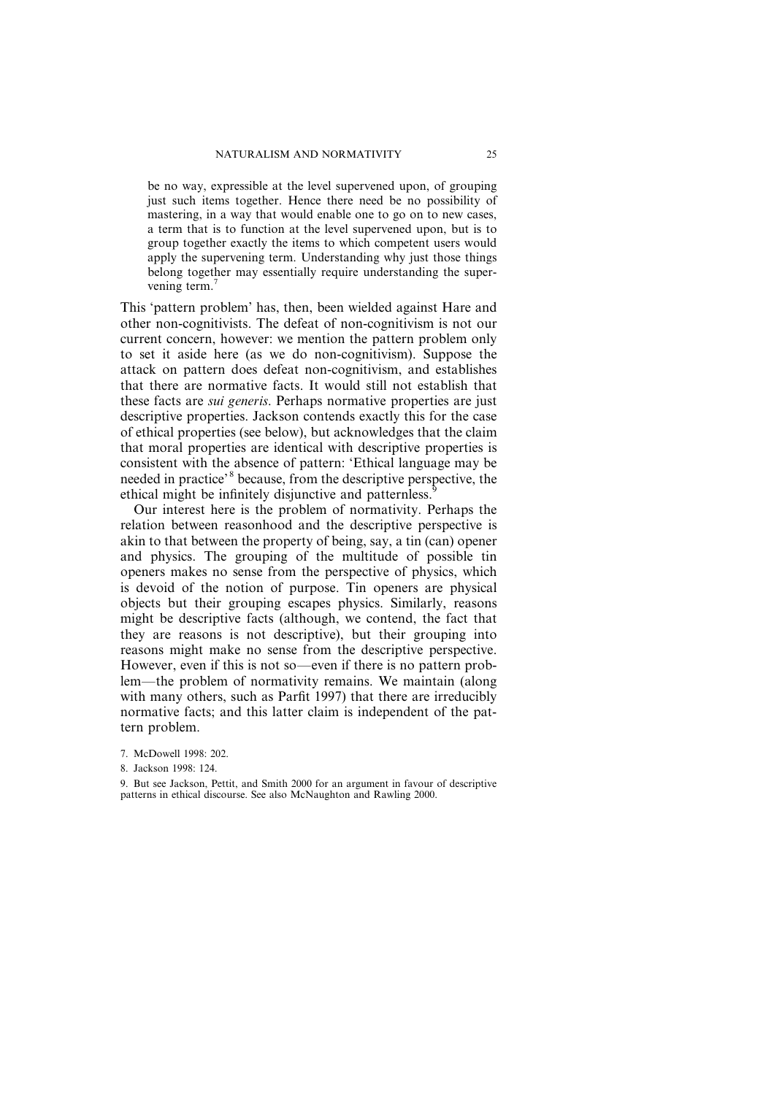be no way, expressible at the level supervened upon, of grouping just such items together. Hence there need be no possibility of mastering, in a way that would enable one to go on to new cases, a term that is to function at the level supervened upon, but is to group together exactly the items to which competent users would apply the supervening term. Understanding why just those things belong together may essentially require understanding the supervening term.<sup>7</sup>

This 'pattern problem' has, then, been wielded against Hare and other non-cognitivists. The defeat of non-cognitivism is not our current concern, however: we mention the pattern problem only to set it aside here (as we do non-cognitivism). Suppose the attack on pattern does defeat non-cognitivism, and establishes that there are normative facts. It would still not establish that these facts are *sui generis*. Perhaps normative properties are just descriptive properties. Jackson contends exactly this for the case of ethical properties (see below), but acknowledges that the claim that moral properties are identical with descriptive properties is consistent with the absence of pattern: 'Ethical language may be needed in practice' <sup>8</sup> because, from the descriptive perspective, the ethical might be infinitely disjunctive and patternless.<sup>9</sup>

Our interest here is the problem of normativity. Perhaps the relation between reasonhood and the descriptive perspective is akin to that between the property of being, say, a tin (can) opener and physics. The grouping of the multitude of possible tin openers makes no sense from the perspective of physics, which is devoid of the notion of purpose. Tin openers are physical objects but their grouping escapes physics. Similarly, reasons might be descriptive facts (although, we contend, the fact that they are reasons is not descriptive), but their grouping into reasons might make no sense from the descriptive perspective. However, even if this is not so—even if there is no pattern problem—the problem of normativity remains. We maintain (along with many others, such as Parfit 1997) that there are irreducibly normative facts; and this latter claim is independent of the pattern problem.

- 7. McDowell 1998: 202.
- 8. Jackson 1998: 124.

9. But see Jackson, Pettit, and Smith 2000 for an argument in favour of descriptive patterns in ethical discourse. See also McNaughton and Rawling 2000.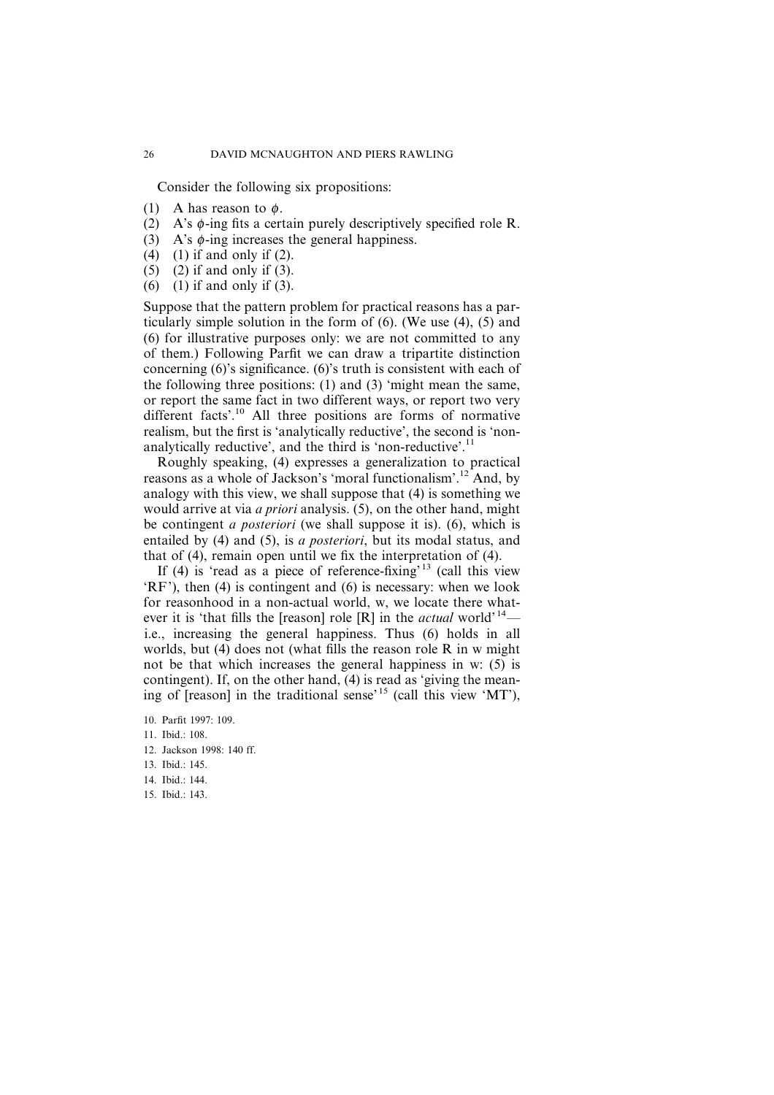Consider the following six propositions:

- (1) A has reason to  $\phi$ .
- (2) A's  $\phi$ -ing fits a certain purely descriptively specified role R.
- (3) A's  $\phi$ -ing increases the general happiness.
- (4) (1) if and only if (2).
- (5) (2) if and only if (3).
- (6) (1) if and only if (3).

Suppose that the pattern problem for practical reasons has a particularly simple solution in the form of (6). (We use (4), (5) and (6) for illustrative purposes only: we are not committed to any of them.) Following Parfit we can draw a tripartite distinction concerning (6)'s significance. (6)'s truth is consistent with each of the following three positions: (1) and (3) 'might mean the same, or report the same fact in two different ways, or report two very different facts'.<sup>10</sup> All three positions are forms of normative realism, but the first is 'analytically reductive', the second is 'nonanalytically reductive', and the third is 'non-reductive'.<sup>11</sup>

Roughly speaking, (4) expresses a generalization to practical reasons as a whole of Jackson's 'moral functionalism'.<sup>12</sup> And, by analogy with this view, we shall suppose that (4) is something we would arrive at via *a priori* analysis. (5), on the other hand, might be contingent *a posteriori* (we shall suppose it is). (6), which is entailed by (4) and (5), is *a posteriori*, but its modal status, and that of (4), remain open until we fix the interpretation of (4).

If (4) is 'read as a piece of reference-fixing'<sup>13</sup> (call this view 'RF'), then (4) is contingent and (6) is necessary: when we look for reasonhood in a non-actual world, w, we locate there whatever it is 'that fills the [reason] role [R] in the *actual* world<sup>'14</sup> i.e., increasing the general happiness. Thus (6) holds in all worlds, but (4) does not (what fills the reason role R in w might not be that which increases the general happiness in w: (5) is contingent). If, on the other hand, (4) is read as 'giving the meaning of [reason] in the traditional sense' <sup>15</sup> (call this view 'MT'),

- 11. Ibid.: 108.
- 12. Jackson 1998: 140 ff.
- 13. Ibid.: 145.
- 14. Ibid.: 144.
- $15$  Ibid $\cdot$  143.

<sup>10.</sup> Parfit 1997: 109.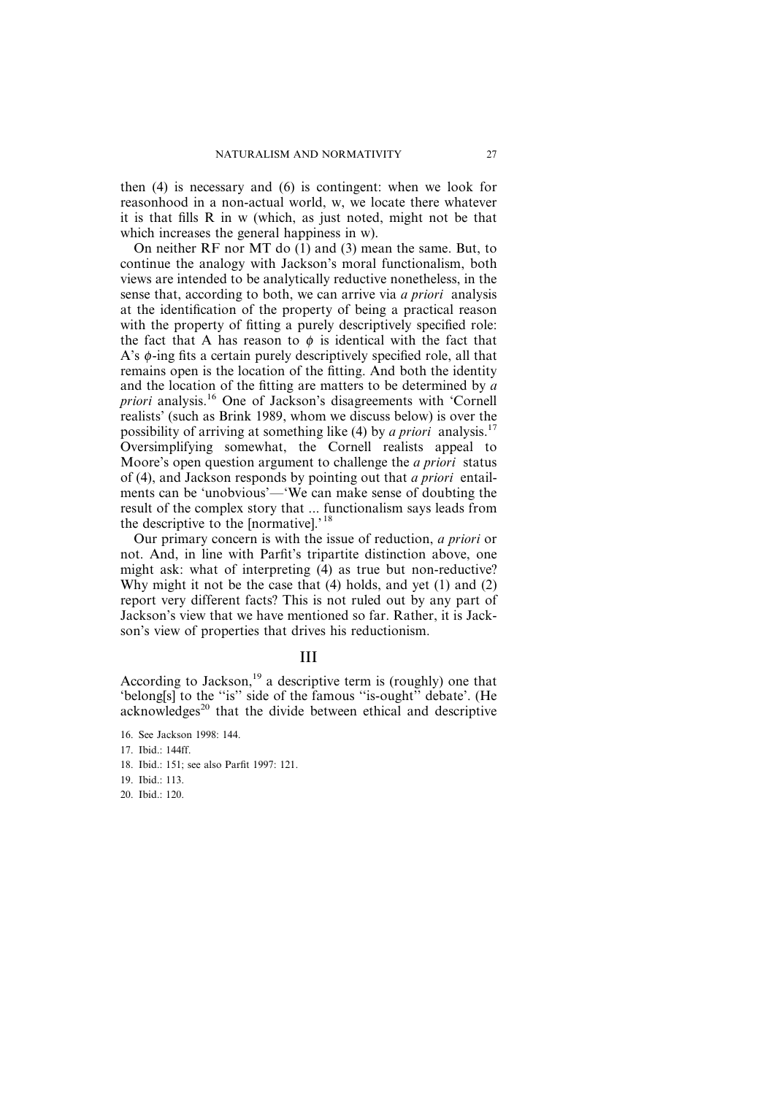then (4) is necessary and (6) is contingent: when we look for reasonhood in a non-actual world, w, we locate there whatever it is that fills R in w (which, as just noted, might not be that which increases the general happiness in w).

On neither RF nor MT do (1) and (3) mean the same. But, to continue the analogy with Jackson's moral functionalism, both views are intended to be analytically reductive nonetheless, in the sense that, according to both, we can arrive via *a priori* analysis at the identification of the property of being a practical reason with the property of fitting a purely descriptively specified role: the fact that A has reason to  $\phi$  is identical with the fact that A's φ-ing fits a certain purely descriptively specified role, all that remains open is the location of the fitting. And both the identity and the location of the fitting are matters to be determined by *a priori* analysis.16 One of Jackson's disagreements with 'Cornell realists' (such as Brink 1989, whom we discuss below) is over the possibility of arriving at something like (4) by *a priori* analysis.17 Oversimplifying somewhat, the Cornell realists appeal to Moore's open question argument to challenge the *a priori* status of (4), and Jackson responds by pointing out that *a priori* entailments can be 'unobvious'—'We can make sense of doubting the result of the complex story that ... functionalism says leads from the descriptive to the [normative]. $18$ 

Our primary concern is with the issue of reduction, *a priori* or not. And, in line with Parfit's tripartite distinction above, one might ask: what of interpreting (4) as true but non-reductive? Why might it not be the case that (4) holds, and yet (1) and (2) report very different facts? This is not ruled out by any part of Jackson's view that we have mentioned so far. Rather, it is Jackson's view of properties that drives his reductionism.

## III

According to Jackson,<sup>19</sup> a descriptive term is (roughly) one that 'belong[s] to the ''is'' side of the famous ''is-ought'' debate'. (He  $acknowledges<sup>20</sup>$  that the divide between ethical and descriptive

- 18. Ibid.: 151; see also Parfit 1997: 121.
- 19. Ibid.: 113.
- 20. Ibid.: 120.

<sup>16.</sup> See Jackson 1998: 144.

<sup>17.</sup> Ibid.: 144ff.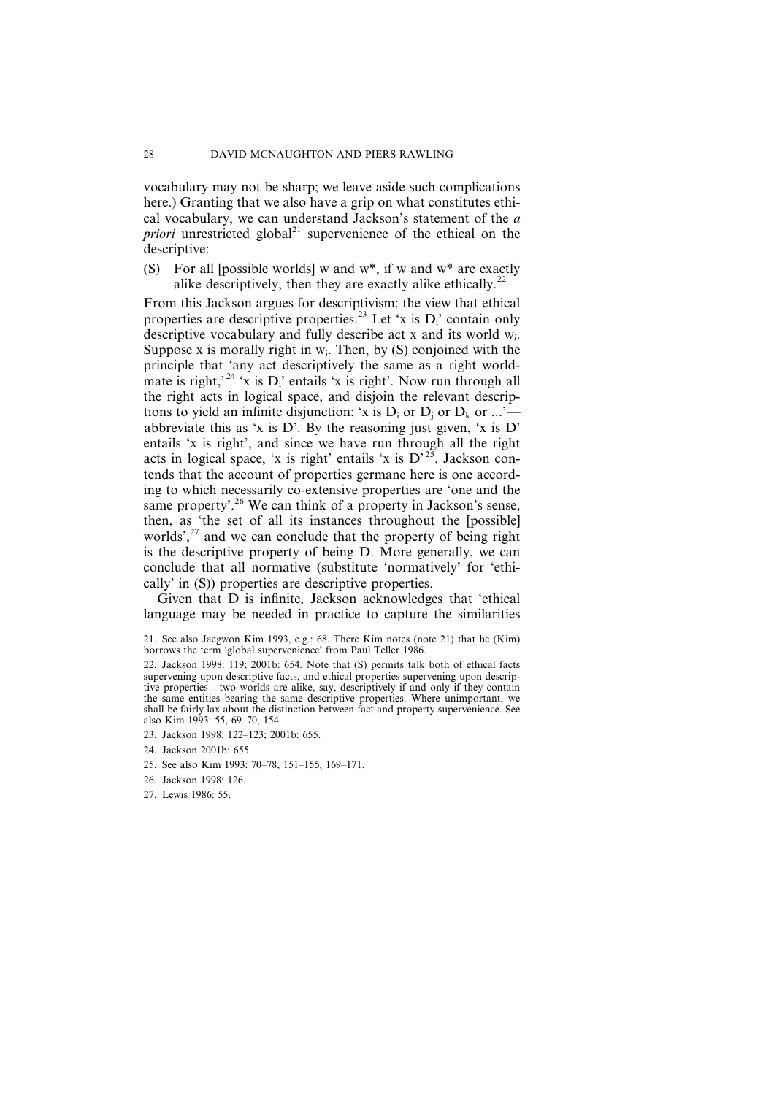vocabulary may not be sharp; we leave aside such complications here.) Granting that we also have a grip on what constitutes ethical vocabulary, we can understand Jackson's statement of the *a priori* unrestricted global<sup>21</sup> supervenience of the ethical on the descriptive:

(S) For all [possible worlds] w and  $w^*$ , if w and  $w^*$  are exactly alike descriptively, then they are exactly alike ethically.<sup>22</sup>

From this Jackson argues for descriptivism: the view that ethical properties are descriptive properties.<sup>23</sup> Let 'x is  $D_i$ ' contain only descriptive vocabulary and fully describe act x and its world wi. Suppose x is morally right in  $w_i$ . Then, by (S) conjoined with the principle that 'any act descriptively the same as a right worldmate is right,<sup>24</sup> 'x is  $D_i$ ' entails 'x is right'. Now run through all the right acts in logical space, and disjoin the relevant descriptions to yield an infinite disjunction: 'x is  $D_i$  or  $D_i$  or  $D_k$  or ...' abbreviate this as 'x is D'. By the reasoning just given, 'x is D' entails 'x is right', and since we have run through all the right acts in logical space, 'x is right' entails 'x is  $D^{25}$ . Jackson contends that the account of properties germane here is one according to which necessarily co-extensive properties are 'one and the same property'.<sup>26</sup> We can think of a property in Jackson's sense, then, as 'the set of all its instances throughout the [possible] worlds',<sup>27</sup> and we can conclude that the property of being right is the descriptive property of being D. More generally, we can conclude that all normative (substitute 'normatively' for 'ethically' in (S)) properties are descriptive properties.

Given that D is infinite, Jackson acknowledges that 'ethical language may be needed in practice to capture the similarities

- 23. Jackson 1998: 122–123; 2001b: 655.
- 24. Jackson 2001b: 655.
- 25. See also Kim 1993: 70–78, 151–155, 169–171.
- 26. Jackson 1998: 126.
- 27. Lewis 1986: 55.

<sup>21.</sup> See also Jaegwon Kim 1993, e.g.: 68. There Kim notes (note 21) that he (Kim) borrows the term 'global supervenience' from Paul Teller 1986.

<sup>22.</sup> Jackson 1998: 119; 2001b: 654. Note that (S) permits talk both of ethical facts supervening upon descriptive facts, and ethical properties supervening upon descriptive properties—two worlds are alike, say, descriptively if and only if they contain the same entities bearing the same descriptive properties. Where unimportant, we shall be fairly lax about the distinction between fact and property supervenience. See also Kim 1993: 55, 69–70, 154.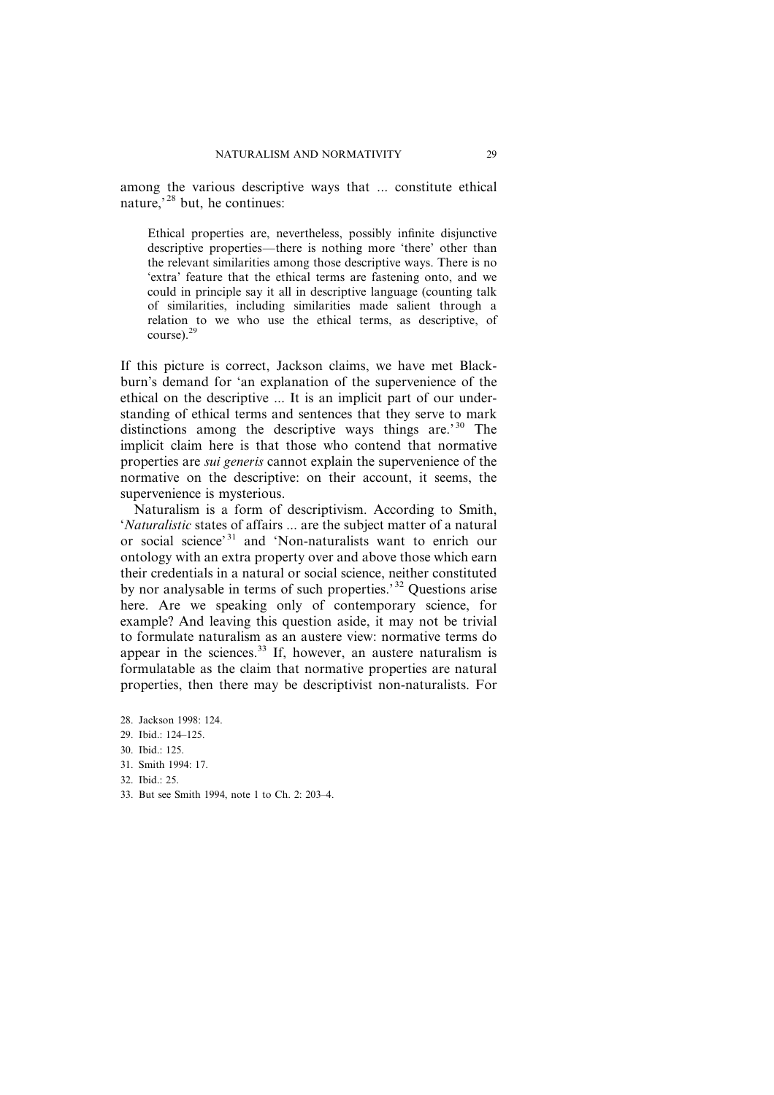among the various descriptive ways that ... constitute ethical nature,<sup>28</sup> but, he continues:

Ethical properties are, nevertheless, possibly infinite disjunctive descriptive properties—there is nothing more 'there' other than the relevant similarities among those descriptive ways. There is no 'extra' feature that the ethical terms are fastening onto, and we could in principle say it all in descriptive language (counting talk of similarities, including similarities made salient through a relation to we who use the ethical terms, as descriptive, of course). $29$ 

If this picture is correct, Jackson claims, we have met Blackburn's demand for 'an explanation of the supervenience of the ethical on the descriptive ... It is an implicit part of our understanding of ethical terms and sentences that they serve to mark distinctions among the descriptive ways things are.' <sup>30</sup> The implicit claim here is that those who contend that normative properties are *sui generis* cannot explain the supervenience of the normative on the descriptive: on their account, it seems, the supervenience is mysterious.

Naturalism is a form of descriptivism. According to Smith, '*Naturalistic* states of affairs ... are the subject matter of a natural or social science' <sup>31</sup> and 'Non-naturalists want to enrich our ontology with an extra property over and above those which earn their credentials in a natural or social science, neither constituted by nor analysable in terms of such properties.'<sup>32</sup> Questions arise here. Are we speaking only of contemporary science, for example? And leaving this question aside, it may not be trivial to formulate naturalism as an austere view: normative terms do appear in the sciences. $33$  If, however, an austere naturalism is formulatable as the claim that normative properties are natural properties, then there may be descriptivist non-naturalists. For

- 31. Smith 1994: 17.
- 32. Ibid.: 25.
- 33. But see Smith 1994, note 1 to Ch. 2: 203–4.

<sup>28.</sup> Jackson 1998: 124.

<sup>29.</sup> Ibid.: 124–125.

<sup>30.</sup> Ibid.: 125.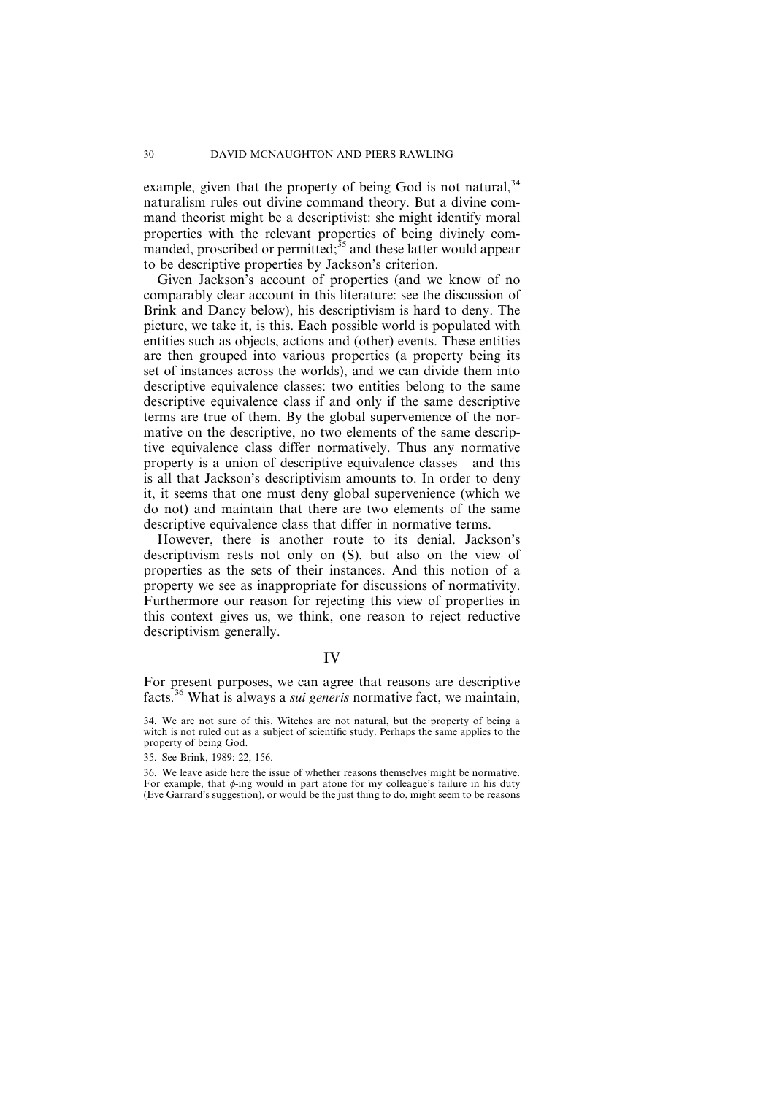example, given that the property of being God is not natural.<sup>34</sup> naturalism rules out divine command theory. But a divine command theorist might be a descriptivist: she might identify moral properties with the relevant properties of being divinely commanded, proscribed or permitted;<sup>35</sup> and these latter would appear to be descriptive properties by Jackson's criterion.

Given Jackson's account of properties (and we know of no comparably clear account in this literature: see the discussion of Brink and Dancy below), his descriptivism is hard to deny. The picture, we take it, is this. Each possible world is populated with entities such as objects, actions and (other) events. These entities are then grouped into various properties (a property being its set of instances across the worlds), and we can divide them into descriptive equivalence classes: two entities belong to the same descriptive equivalence class if and only if the same descriptive terms are true of them. By the global supervenience of the normative on the descriptive, no two elements of the same descriptive equivalence class differ normatively. Thus any normative property is a union of descriptive equivalence classes—and this is all that Jackson's descriptivism amounts to. In order to deny it, it seems that one must deny global supervenience (which we do not) and maintain that there are two elements of the same descriptive equivalence class that differ in normative terms.

However, there is another route to its denial. Jackson's descriptivism rests not only on (S), but also on the view of properties as the sets of their instances. And this notion of a property we see as inappropriate for discussions of normativity. Furthermore our reason for rejecting this view of properties in this context gives us, we think, one reason to reject reductive descriptivism generally.

## IV

For present purposes, we can agree that reasons are descriptive facts.36 What is always a *sui generis* normative fact, we maintain,

34. We are not sure of this. Witches are not natural, but the property of being a witch is not ruled out as a subject of scientific study. Perhaps the same applies to the property of being God.

35. See Brink, 1989: 22, 156.

36. We leave aside here the issue of whether reasons themselves might be normative. For example, that  $\phi$ -ing would in part atone for my colleague's failure in his duty (Eve Garrard's suggestion), or would be the just thing to do, might seem to be reasons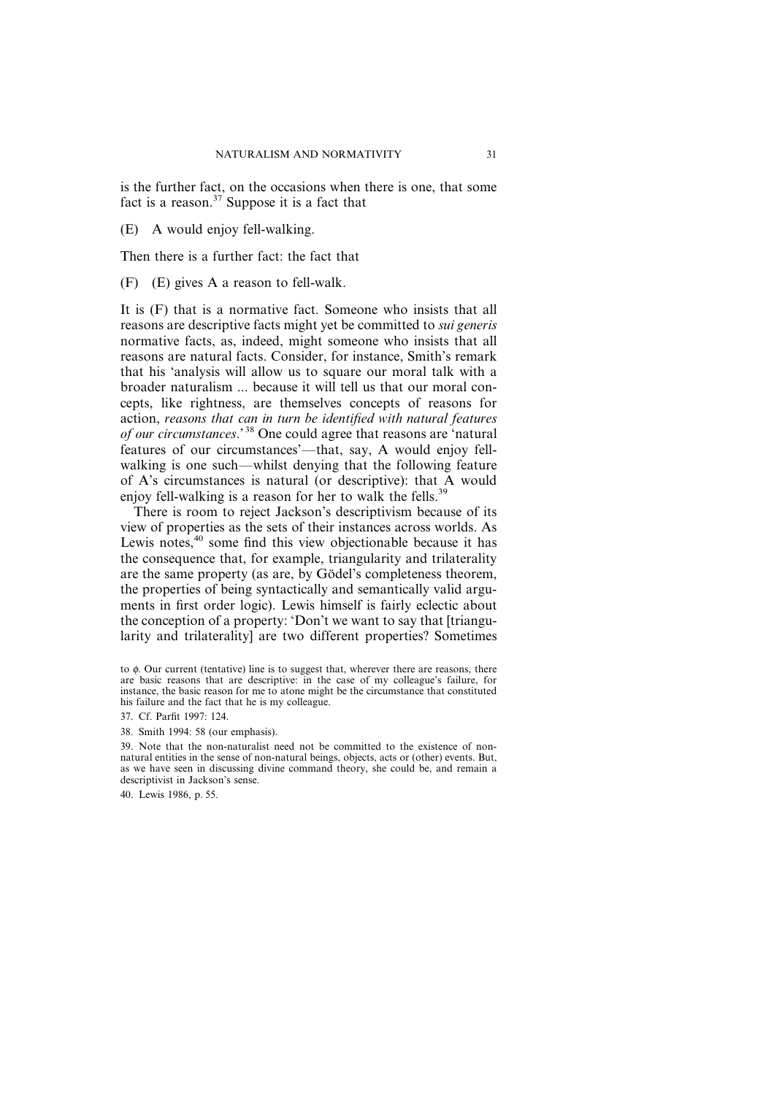is the further fact, on the occasions when there is one, that some fact is a reason.<sup>37</sup> Suppose it is a fact that

(E) A would enjoy fell-walking.

Then there is a further fact: the fact that

(F) (E) gives A a reason to fell-walk.

It is (F) that is a normative fact. Someone who insists that all reasons are descriptive facts might yet be committed to *sui generis* normative facts, as, indeed, might someone who insists that all reasons are natural facts. Consider, for instance, Smith's remark that his 'analysis will allow us to square our moral talk with a broader naturalism ... because it will tell us that our moral concepts, like rightness, are themselves concepts of reasons for action, *reasons that can in turn be identified with natural features of our circumstances*.' <sup>38</sup> One could agree that reasons are 'natural features of our circumstances'—that, say, A would enjoy fellwalking is one such—whilst denying that the following feature of A's circumstances is natural (or descriptive): that A would enjoy fell-walking is a reason for her to walk the fells.<sup>39</sup>

There is room to reject Jackson's descriptivism because of its view of properties as the sets of their instances across worlds. As Lewis notes,<sup>40</sup> some find this view objectionable because it has the consequence that, for example, triangularity and trilaterality are the same property (as are, by Gödel's completeness theorem, the properties of being syntactically and semantically valid arguments in first order logic). Lewis himself is fairly eclectic about the conception of a property: 'Don't we want to say that [triangularity and trilaterality] are two different properties? Sometimes

38. Smith 1994: 58 (our emphasis).

39. Note that the non-naturalist need not be committed to the existence of nonnatural entities in the sense of non-natural beings, objects, acts or (other) events. But, as we have seen in discussing divine command theory, she could be, and remain a descriptivist in Jackson's sense.

40. Lewis 1986, p. 55.

to  $\phi$ . Our current (tentative) line is to suggest that, wherever there are reasons, there are basic reasons that are descriptive: in the case of my colleague's failure, for instance, the basic reason for me to atone might be the circumstance that constituted his failure and the fact that he is my colleague.

<sup>37.</sup> Cf. Parfit 1997: 124.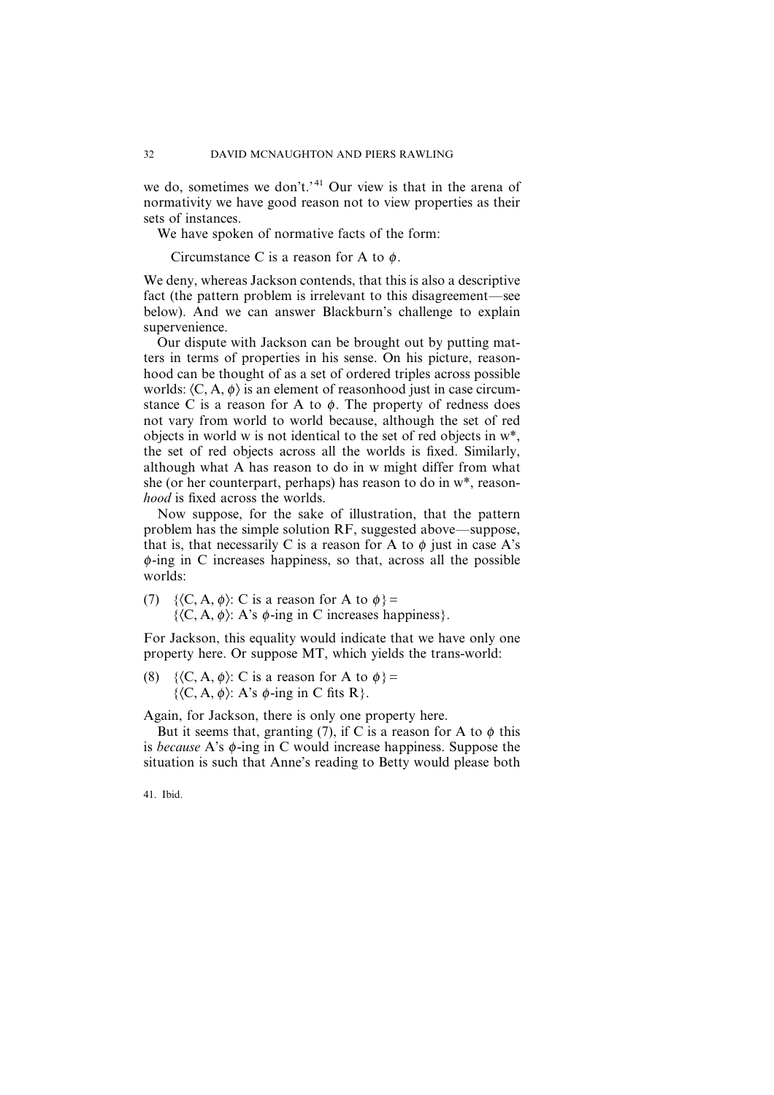we do, sometimes we don't.'<sup>41</sup> Our view is that in the arena of normativity we have good reason not to view properties as their sets of instances.

We have spoken of normative facts of the form:

Circumstance C is a reason for A to  $\phi$ .

We deny, whereas Jackson contends, that this is also a descriptive fact (the pattern problem is irrelevant to this disagreement—see below). And we can answer Blackburn's challenge to explain supervenience.

Our dispute with Jackson can be brought out by putting matters in terms of properties in his sense. On his picture, reasonhood can be thought of as a set of ordered triples across possible worlds:  $\langle C, A, \phi \rangle$  is an element of reasonhood just in case circumstance C is a reason for A to  $\phi$ . The property of redness does not vary from world to world because, although the set of red objects in world w is not identical to the set of red objects in w\*, the set of red objects across all the worlds is fixed. Similarly, although what A has reason to do in w might differ from what she (or her counterpart, perhaps) has reason to do in w\*, reason*hood* is fixed across the worlds.

Now suppose, for the sake of illustration, that the pattern problem has the simple solution RF, suggested above—suppose, that is, that necessarily C is a reason for A to  $\phi$  just in case A's φ-ing in C increases happiness, so that, across all the possible worlds:

(7)  $\{(C, A, \phi): C \text{ is a reason for } A \text{ to } \phi\} =$  $\{ \langle C, A, \phi \rangle : A$ 's  $\phi$ -ing in C increases happiness $\}.$ 

For Jackson, this equality would indicate that we have only one property here. Or suppose MT, which yields the trans-world:

(8)  $\{(C, A, \phi) : C \text{ is a reason for } A \text{ to } \phi\} =$  $\{ \langle C, A, \phi \rangle : A \$  s  $\phi$ -ing in C fits R  $\}.$ 

Again, for Jackson, there is only one property here.

But it seems that, granting (7), if C is a reason for A to  $\phi$  this is *because* A's φ-ing in C would increase happiness. Suppose the situation is such that Anne's reading to Betty would please both

41. Ibid.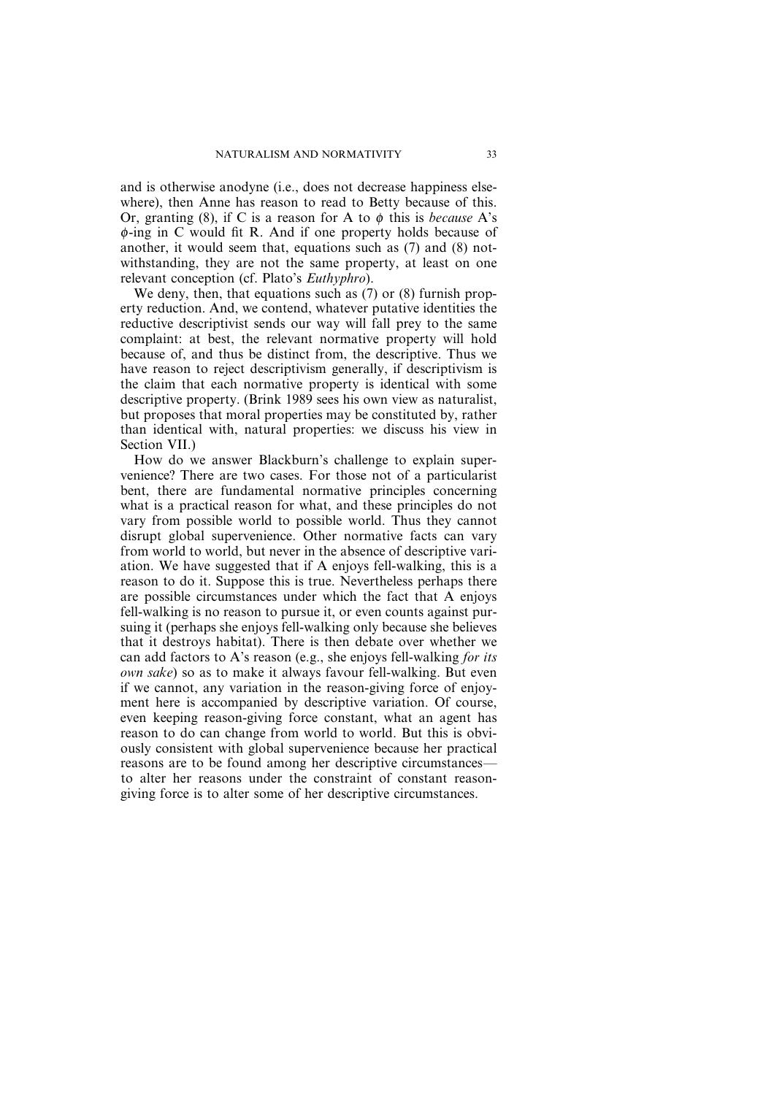and is otherwise anodyne (i.e., does not decrease happiness elsewhere), then Anne has reason to read to Betty because of this. Or, granting (8), if C is a reason for A to φ this is *because* A's φ-ing in C would fit R. And if one property holds because of another, it would seem that, equations such as (7) and (8) notwithstanding, they are not the same property, at least on one relevant conception (cf. Plato's *Euthyphro*).

We deny, then, that equations such as (7) or (8) furnish property reduction. And, we contend, whatever putative identities the reductive descriptivist sends our way will fall prey to the same complaint: at best, the relevant normative property will hold because of, and thus be distinct from, the descriptive. Thus we have reason to reject descriptivism generally, if descriptivism is the claim that each normative property is identical with some descriptive property. (Brink 1989 sees his own view as naturalist, but proposes that moral properties may be constituted by, rather than identical with, natural properties: we discuss his view in Section VII.)

How do we answer Blackburn's challenge to explain supervenience? There are two cases. For those not of a particularist bent, there are fundamental normative principles concerning what is a practical reason for what, and these principles do not vary from possible world to possible world. Thus they cannot disrupt global supervenience. Other normative facts can vary from world to world, but never in the absence of descriptive variation. We have suggested that if A enjoys fell-walking, this is a reason to do it. Suppose this is true. Nevertheless perhaps there are possible circumstances under which the fact that A enjoys fell-walking is no reason to pursue it, or even counts against pursuing it (perhaps she enjoys fell-walking only because she believes that it destroys habitat). There is then debate over whether we can add factors to A's reason (e.g., she enjoys fell-walking *for its own sake*) so as to make it always favour fell-walking. But even if we cannot, any variation in the reason-giving force of enjoyment here is accompanied by descriptive variation. Of course, even keeping reason-giving force constant, what an agent has reason to do can change from world to world. But this is obviously consistent with global supervenience because her practical reasons are to be found among her descriptive circumstances to alter her reasons under the constraint of constant reasongiving force is to alter some of her descriptive circumstances.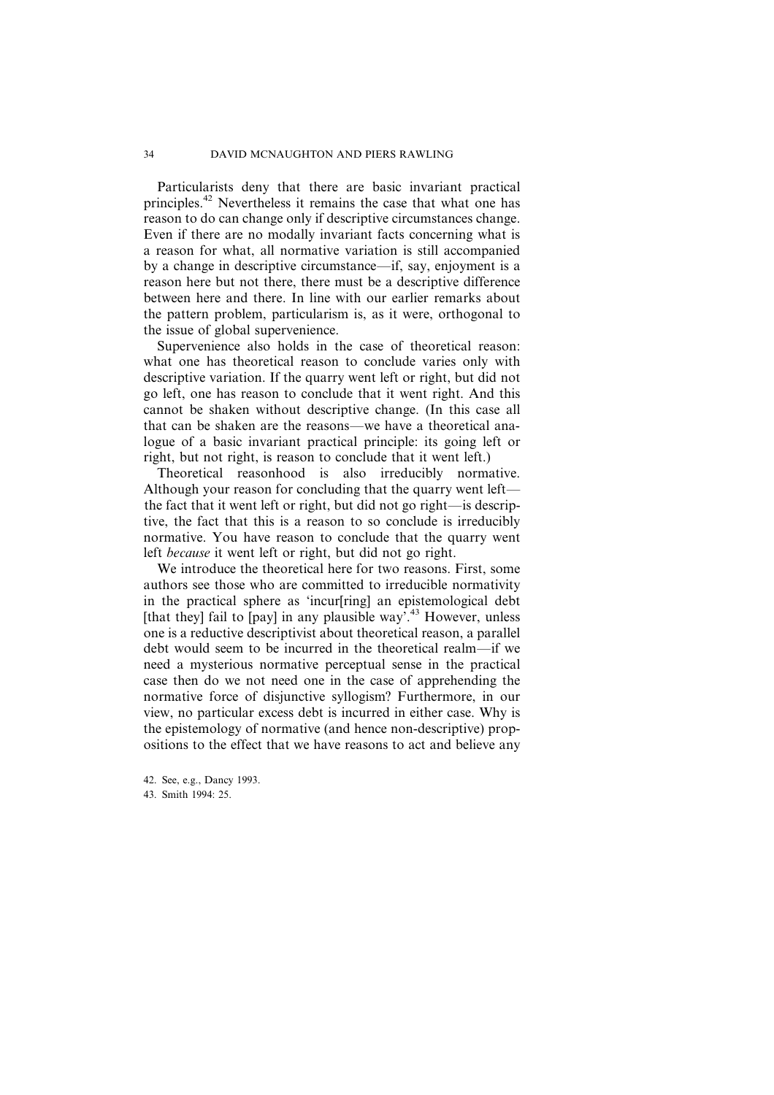Particularists deny that there are basic invariant practical principles.42 Nevertheless it remains the case that what one has reason to do can change only if descriptive circumstances change. Even if there are no modally invariant facts concerning what is a reason for what, all normative variation is still accompanied by a change in descriptive circumstance—if, say, enjoyment is a reason here but not there, there must be a descriptive difference between here and there. In line with our earlier remarks about the pattern problem, particularism is, as it were, orthogonal to the issue of global supervenience.

Supervenience also holds in the case of theoretical reason: what one has theoretical reason to conclude varies only with descriptive variation. If the quarry went left or right, but did not go left, one has reason to conclude that it went right. And this cannot be shaken without descriptive change. (In this case all that can be shaken are the reasons—we have a theoretical analogue of a basic invariant practical principle: its going left or right, but not right, is reason to conclude that it went left.)

Theoretical reasonhood is also irreducibly normative. Although your reason for concluding that the quarry went left the fact that it went left or right, but did not go right—is descriptive, the fact that this is a reason to so conclude is irreducibly normative. You have reason to conclude that the quarry went left *because* it went left or right, but did not go right.

We introduce the theoretical here for two reasons. First, some authors see those who are committed to irreducible normativity in the practical sphere as 'incur[ring] an epistemological debt [that they] fail to [pay] in any plausible way'.<sup>43</sup> However, unless one is a reductive descriptivist about theoretical reason, a parallel debt would seem to be incurred in the theoretical realm—if we need a mysterious normative perceptual sense in the practical case then do we not need one in the case of apprehending the normative force of disjunctive syllogism? Furthermore, in our view, no particular excess debt is incurred in either case. Why is the epistemology of normative (and hence non-descriptive) propositions to the effect that we have reasons to act and believe any

42. See, e.g., Dancy 1993. 43. Smith 1994: 25.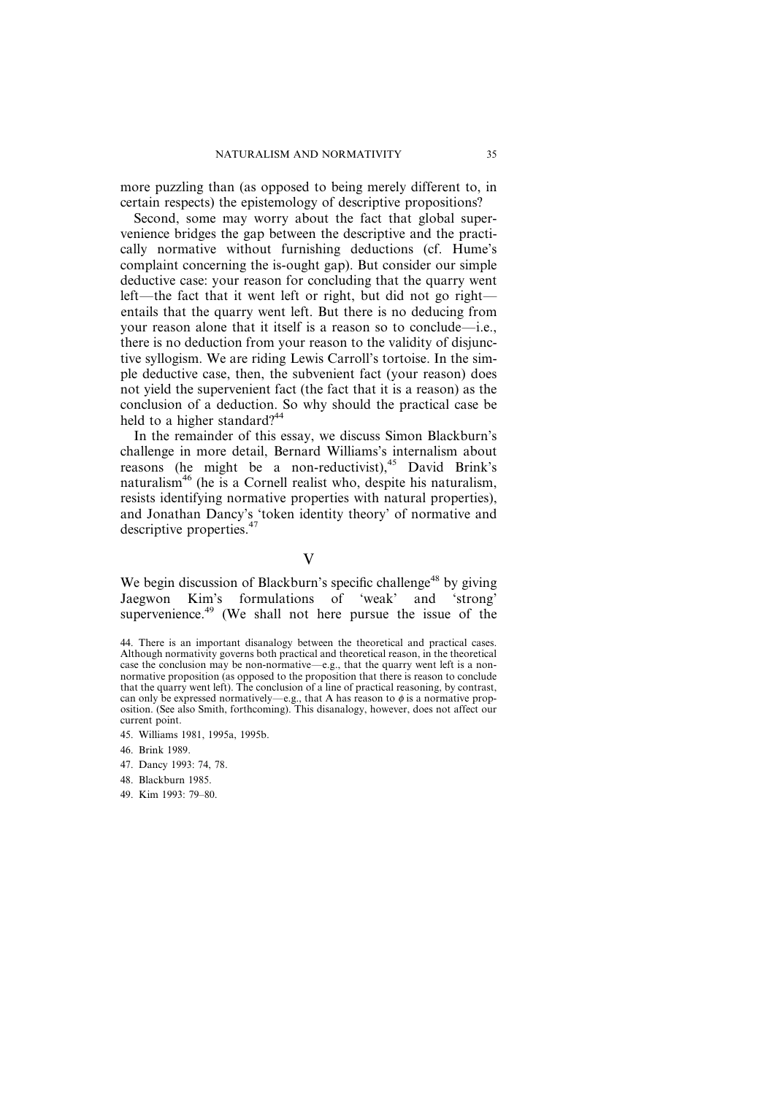more puzzling than (as opposed to being merely different to, in certain respects) the epistemology of descriptive propositions?

Second, some may worry about the fact that global supervenience bridges the gap between the descriptive and the practically normative without furnishing deductions (cf. Hume's complaint concerning the is-ought gap). But consider our simple deductive case: your reason for concluding that the quarry went left—the fact that it went left or right, but did not go right entails that the quarry went left. But there is no deducing from your reason alone that it itself is a reason so to conclude—i.e., there is no deduction from your reason to the validity of disjunctive syllogism. We are riding Lewis Carroll's tortoise. In the simple deductive case, then, the subvenient fact (your reason) does not yield the supervenient fact (the fact that it is a reason) as the conclusion of a deduction. So why should the practical case be held to a higher standard?<sup>44</sup>

In the remainder of this essay, we discuss Simon Blackburn's challenge in more detail, Bernard Williams's internalism about reasons (he might be a non-reductivist), $45$  David Brink's naturalism<sup>46</sup> (he is a Cornell realist who, despite his naturalism, resists identifying normative properties with natural properties), and Jonathan Dancy's 'token identity theory' of normative and descriptive properties.<sup>47</sup>

### $\overline{\mathbf{V}}$

We begin discussion of Blackburn's specific challenge<sup>48</sup> by giving Jaegwon Kim's formulations of 'weak' and 'strong' supervenience.<sup>49</sup> (We shall not here pursue the issue of the

45. Williams 1981, 1995a, 1995b.

- 47. Dancy 1993: 74, 78.
- 48. Blackburn 1985.
- 49. Kim 1993: 79–80.

<sup>44.</sup> There is an important disanalogy between the theoretical and practical cases. Although normativity governs both practical and theoretical reason, in the theoretical case the conclusion may be non-normative—e.g., that the quarry went left is a nonnormative proposition (as opposed to the proposition that there is reason to conclude that the quarry went left). The conclusion of a line of practical reasoning, by contrast, can only be expressed normatively—e.g., that A has reason to  $\phi$  is a normative proposition. (See also Smith, forthcoming). This disanalogy, however, does not affect our current point.

<sup>46.</sup> Brink 1989.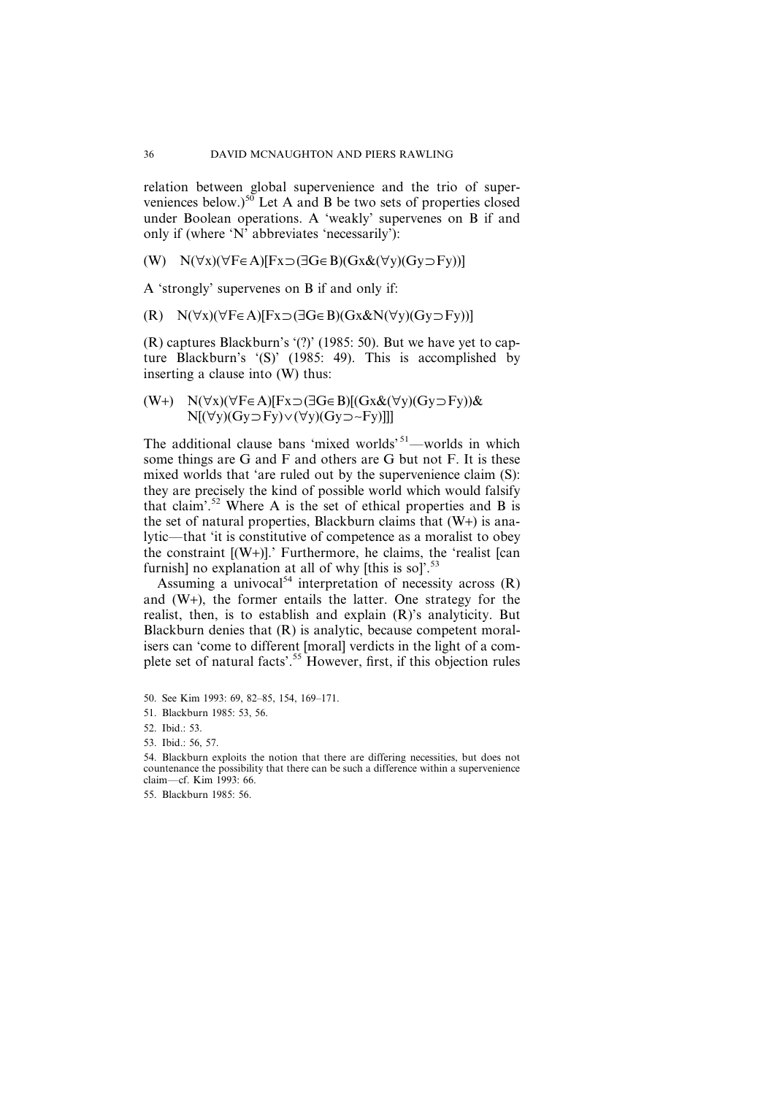relation between global supervenience and the trio of superveniences below.) $5\sqrt{0}$  Let A and B be two sets of properties closed under Boolean operations. A 'weakly' supervenes on B if and only if (where 'N' abbreviates 'necessarily'):

(W) N( $\forall x$ )( $\forall F \in A$ )[Fx $\supset$ ( $\exists G \in B$ )( $G x \& (\forall y) (G y \supset F y)$ )]

A 'strongly' supervenes on B if and only if:

 $(R) \quad N(\forall x)(\forall F \in A)[Fx \supset (\exists G \in B)(Gx \& N(\forall y)(Gy \supset Fy))]$ 

(R) captures Blackburn's '(?)' (1985: 50). But we have yet to capture Blackburn's '(S)' (1985: 49). This is accomplished by inserting a clause into (W) thus:

$$
\begin{array}{ll} (W+)&N(\forall x)(\forall F\!\in\! A)[Fx\!\supset\!(\exists G\!\in\! B)[(Gx\&\!(\forall y)(Gy\!\supset\! Fy))\&\\ &N[(\forall y)(Gy\!\supset\! Fy)\!\vee\!(\forall y)(Gy\!\supset\!\neg\! Fy)]]]\end{array}
$$

The additional clause bans 'mixed worlds'<sup>51</sup>—worlds in which some things are G and F and others are G but not F. It is these mixed worlds that 'are ruled out by the supervenience claim (S): they are precisely the kind of possible world which would falsify that claim'. <sup>52</sup> Where A is the set of ethical properties and B is the set of natural properties, Blackburn claims that (W+) is analytic—that 'it is constitutive of competence as a moralist to obey the constraint  $[(W+)]$ .' Furthermore, he claims, the 'realist [can furnish] no explanation at all of why [this is so]'.<sup>53</sup>

Assuming a univocal<sup>54</sup> interpretation of necessity across  $(R)$ and (W+), the former entails the latter. One strategy for the realist, then, is to establish and explain (R)'s analyticity. But Blackburn denies that (R) is analytic, because competent moralisers can 'come to different [moral] verdicts in the light of a complete set of natural facts'.<sup>55</sup> However, first, if this objection rules

50. See Kim 1993: 69, 82–85, 154, 169–171.

- 51. Blackburn 1985: 53, 56.
- 52. Ibid.: 53.
- 53. Ibid.: 56, 57.

55. Blackburn 1985: 56.

<sup>54.</sup> Blackburn exploits the notion that there are differing necessities, but does not countenance the possibility that there can be such a difference within a supervenience claim—cf. Kim 1993: 66.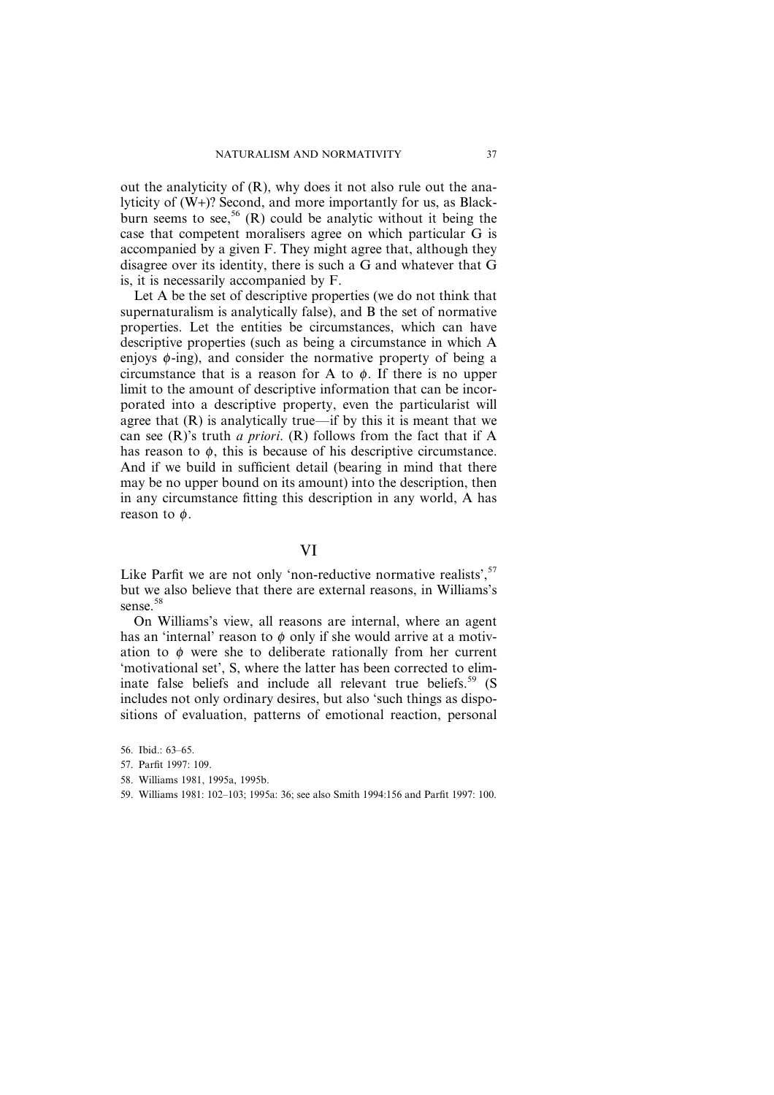out the analyticity of (R), why does it not also rule out the analyticity of (W+)? Second, and more importantly for us, as Blackburn seems to see,<sup>56</sup> (R) could be analytic without it being the case that competent moralisers agree on which particular G is accompanied by a given F. They might agree that, although they disagree over its identity, there is such a G and whatever that G is, it is necessarily accompanied by F.

Let A be the set of descriptive properties (we do not think that supernaturalism is analytically false), and B the set of normative properties. Let the entities be circumstances, which can have descriptive properties (such as being a circumstance in which A enjoys  $\phi$ -ing), and consider the normative property of being a circumstance that is a reason for A to  $\phi$ . If there is no upper limit to the amount of descriptive information that can be incorporated into a descriptive property, even the particularist will agree that  $(R)$  is analytically true—if by this it is meant that we can see (R)'s truth *a priori*. (R) follows from the fact that if A has reason to  $\phi$ , this is because of his descriptive circumstance. And if we build in sufficient detail (bearing in mind that there may be no upper bound on its amount) into the description, then in any circumstance fitting this description in any world, A has reason to  $\phi$ .

#### VI

Like Parfit we are not only 'non-reductive normative realists',<sup>57</sup> but we also believe that there are external reasons, in Williams's sense.<sup>58</sup>

On Williams's view, all reasons are internal, where an agent has an 'internal' reason to φ only if she would arrive at a motivation to φ were she to deliberate rationally from her current 'motivational set', S, where the latter has been corrected to eliminate false beliefs and include all relevant true beliefs.<sup>59</sup> (S includes not only ordinary desires, but also 'such things as dispositions of evaluation, patterns of emotional reaction, personal

58. Williams 1981, 1995a, 1995b.

<sup>56.</sup> Ibid.: 63–65.

<sup>57.</sup> Parfit 1997: 109.

<sup>59.</sup> Williams 1981: 102–103; 1995a: 36; see also Smith 1994:156 and Parfit 1997: 100.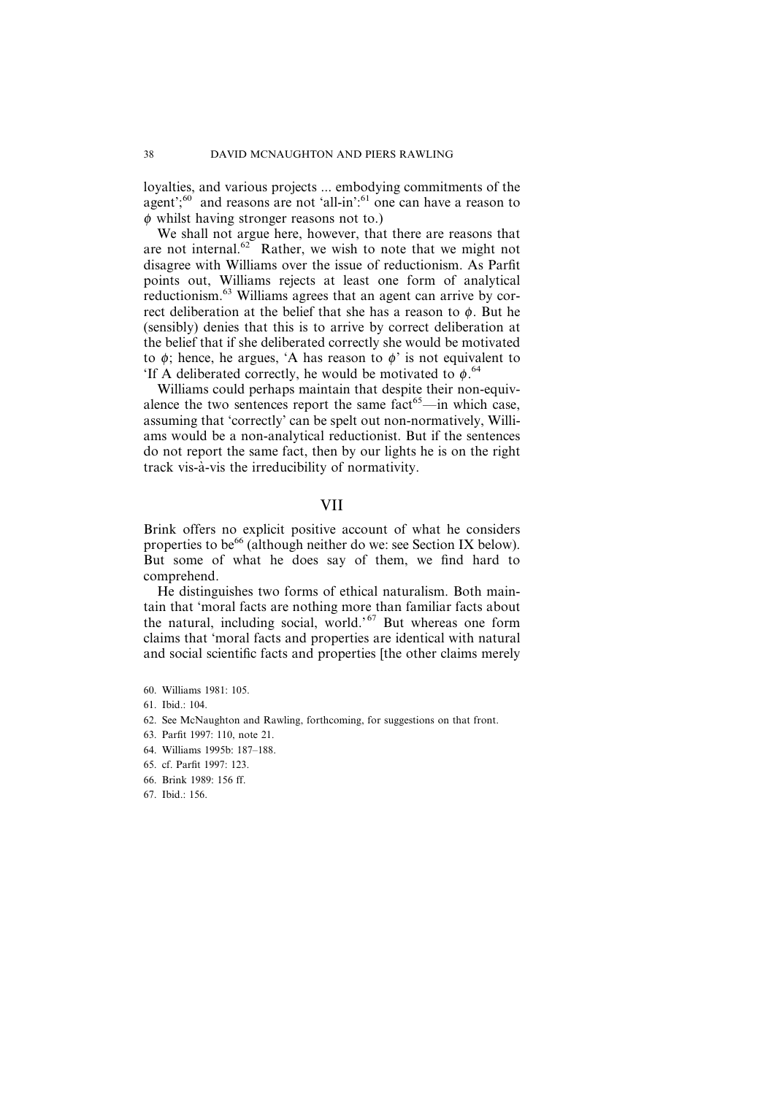loyalties, and various projects ... embodying commitments of the agent';<sup>60</sup> and reasons are not 'all-in':<sup>61</sup> one can have a reason to φ whilst having stronger reasons not to.)

We shall not argue here, however, that there are reasons that are not internal.<sup>62</sup> Rather, we wish to note that we might not disagree with Williams over the issue of reductionism. As Parfit points out, Williams rejects at least one form of analytical reductionism.<sup>63</sup> Williams agrees that an agent can arrive by correct deliberation at the belief that she has a reason to  $\phi$ . But he (sensibly) denies that this is to arrive by correct deliberation at the belief that if she deliberated correctly she would be motivated to  $\phi$ ; hence, he argues, 'A has reason to  $\phi$ ' is not equivalent to 'If A deliberated correctly, he would be motivated to  $\phi$ .<sup>64</sup>

Williams could perhaps maintain that despite their non-equivalence the two sentences report the same fact<sup>65</sup>—in which case, assuming that 'correctly' can be spelt out non-normatively, Williams would be a non-analytical reductionist. But if the sentences do not report the same fact, then by our lights he is on the right track vis-a`-vis the irreducibility of normativity.

#### VII

Brink offers no explicit positive account of what he considers properties to be<sup>66</sup> (although neither do we: see Section IX below). But some of what he does say of them, we find hard to comprehend.

He distinguishes two forms of ethical naturalism. Both maintain that 'moral facts are nothing more than familiar facts about the natural, including social, world.' <sup>67</sup> But whereas one form claims that 'moral facts and properties are identical with natural and social scientific facts and properties [the other claims merely

- 60. Williams 1981: 105.
- 61. Ibid.: 104.
- 62. See McNaughton and Rawling, forthcoming, for suggestions on that front.
- 63. Parfit 1997: 110, note 21.
- 64. Williams 1995b: 187–188.
- 65. cf. Parfit 1997: 123.
- 66. Brink 1989: 156 ff.
- 67. Ibid.: 156.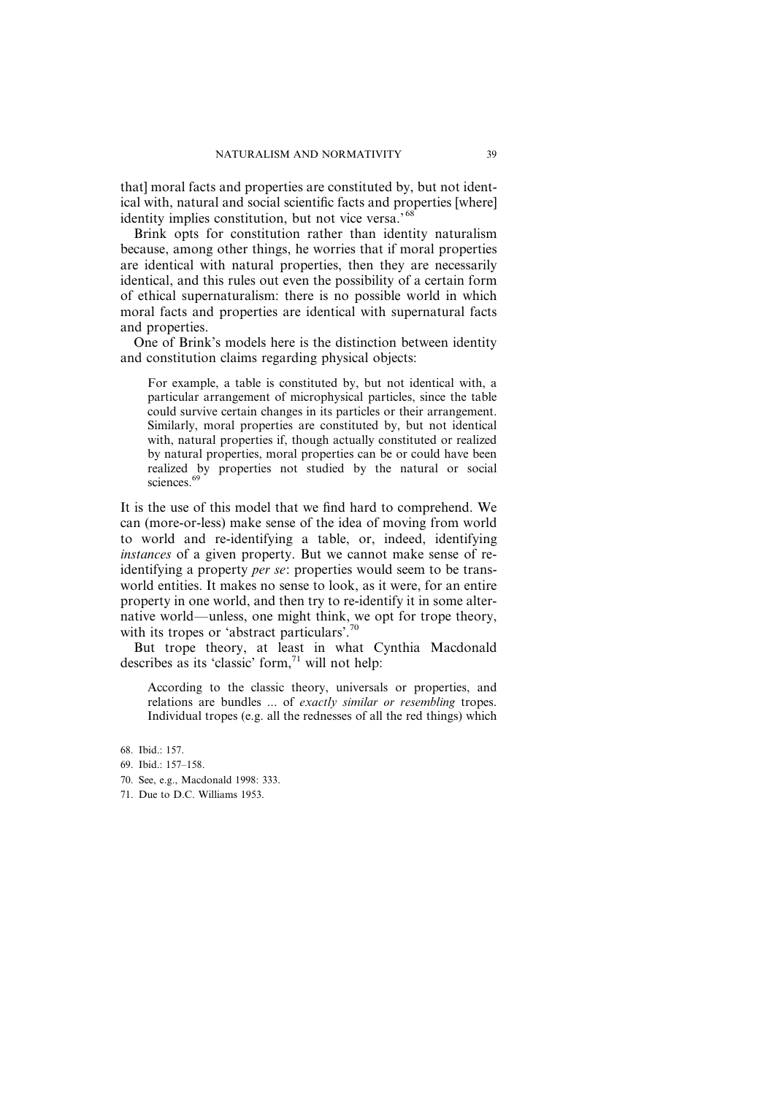that] moral facts and properties are constituted by, but not identical with, natural and social scientific facts and properties [where] identity implies constitution, but not vice versa.'<sup>68</sup>

Brink opts for constitution rather than identity naturalism because, among other things, he worries that if moral properties are identical with natural properties, then they are necessarily identical, and this rules out even the possibility of a certain form of ethical supernaturalism: there is no possible world in which moral facts and properties are identical with supernatural facts and properties.

One of Brink's models here is the distinction between identity and constitution claims regarding physical objects:

For example, a table is constituted by, but not identical with, a particular arrangement of microphysical particles, since the table could survive certain changes in its particles or their arrangement. Similarly, moral properties are constituted by, but not identical with, natural properties if, though actually constituted or realized by natural properties, moral properties can be or could have been realized by properties not studied by the natural or social sciences.<sup>69</sup>

It is the use of this model that we find hard to comprehend. We can (more-or-less) make sense of the idea of moving from world to world and re-identifying a table, or, indeed, identifying *instances* of a given property. But we cannot make sense of reidentifying a property *per se*: properties would seem to be transworld entities. It makes no sense to look, as it were, for an entire property in one world, and then try to re-identify it in some alternative world—unless, one might think, we opt for trope theory, with its tropes or 'abstract particulars'.<sup>70</sup>

But trope theory, at least in what Cynthia Macdonald describes as its 'classic' form, $71$  will not help:

According to the classic theory, universals or properties, and relations are bundles ... of *exactly similar or resembling* tropes. Individual tropes (e.g. all the rednesses of all the red things) which

- 70. See, e.g., Macdonald 1998: 333.
- 71. Due to D.C. Williams 1953.

<sup>68.</sup> Ibid.: 157.

<sup>69.</sup> Ibid.: 157–158.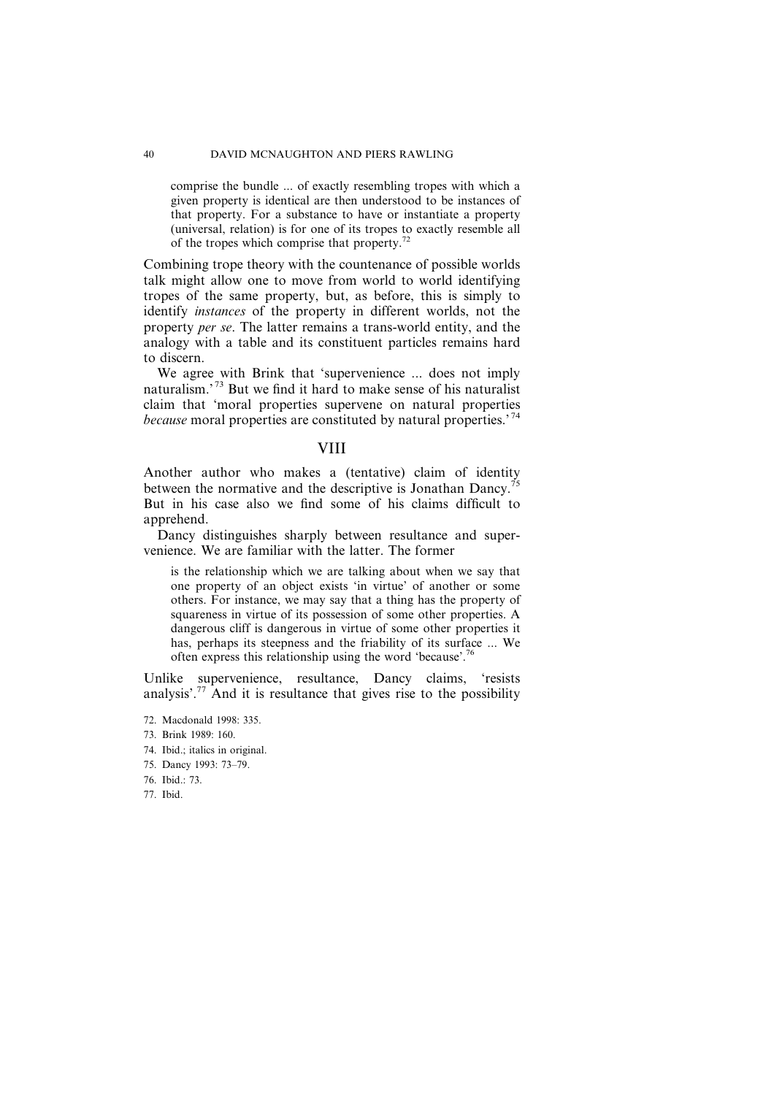comprise the bundle ... of exactly resembling tropes with which a given property is identical are then understood to be instances of that property. For a substance to have or instantiate a property (universal, relation) is for one of its tropes to exactly resemble all of the tropes which comprise that property.<sup>72</sup>

Combining trope theory with the countenance of possible worlds talk might allow one to move from world to world identifying tropes of the same property, but, as before, this is simply to identify *instances* of the property in different worlds, not the property *per se*. The latter remains a trans-world entity, and the analogy with a table and its constituent particles remains hard to discern.

We agree with Brink that 'supervenience ... does not imply naturalism.<sup>73</sup> But we find it hard to make sense of his naturalist claim that 'moral properties supervene on natural properties *because* moral properties are constituted by natural properties.' 74

## **VIII**

Another author who makes a (tentative) claim of identity between the normative and the descriptive is Jonathan Dancy.<sup>7</sup> But in his case also we find some of his claims difficult to

apprehend.

Dancy distinguishes sharply between resultance and supervenience. We are familiar with the latter. The former

is the relationship which we are talking about when we say that one property of an object exists 'in virtue' of another or some others. For instance, we may say that a thing has the property of squareness in virtue of its possession of some other properties. A dangerous cliff is dangerous in virtue of some other properties it has, perhaps its steepness and the friability of its surface ... We often express this relationship using the word 'because'.<sup>76</sup>

Unlike supervenience, resultance, Dancy claims, 'resists analysis'.<sup>77</sup> And it is resultance that gives rise to the possibility

- 72. Macdonald 1998: 335.
- 73. Brink 1989: 160.
- 74. Ibid.; italics in original.
- 75. Dancy 1993: 73–79.
- 76. Ibid.: 73.
- 77. Ibid.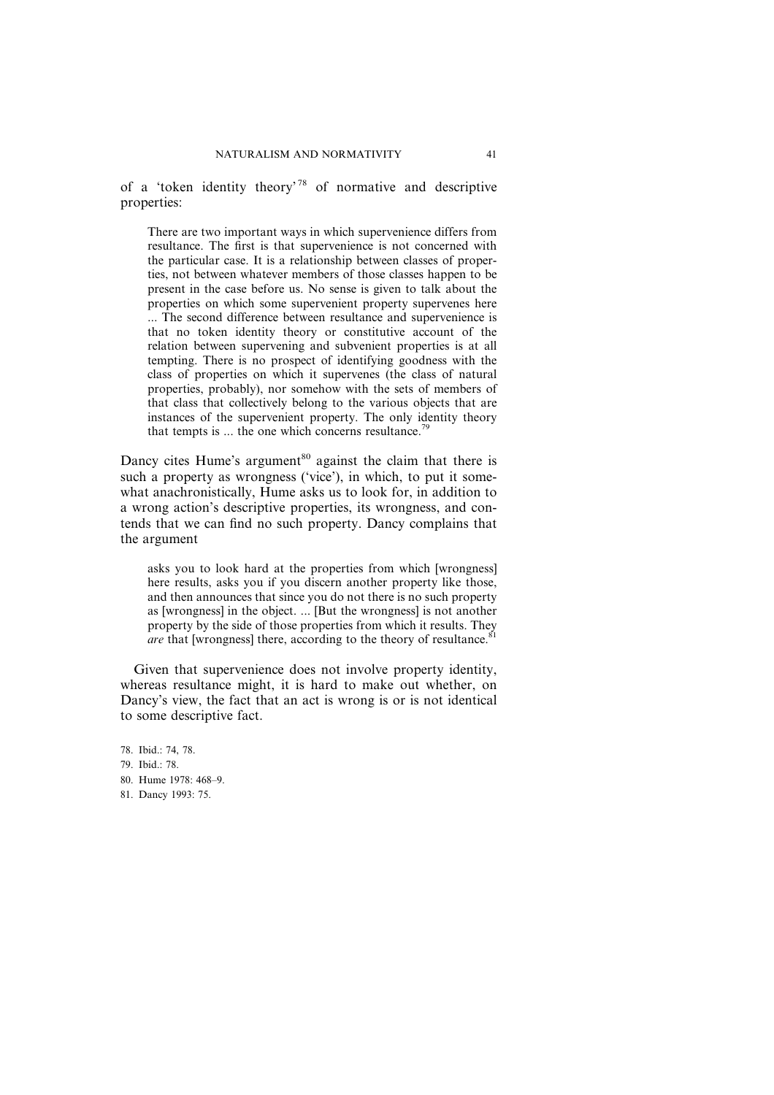of a 'token identity theory'<sup>78</sup> of normative and descriptive properties:

There are two important ways in which supervenience differs from resultance. The first is that supervenience is not concerned with the particular case. It is a relationship between classes of properties, not between whatever members of those classes happen to be present in the case before us. No sense is given to talk about the properties on which some supervenient property supervenes here ... The second difference between resultance and supervenience is that no token identity theory or constitutive account of the relation between supervening and subvenient properties is at all tempting. There is no prospect of identifying goodness with the class of properties on which it supervenes (the class of natural properties, probably), nor somehow with the sets of members of that class that collectively belong to the various objects that are instances of the supervenient property. The only identity theory that tempts is  $\ldots$  the one which concerns resultance.<sup>79</sup>

Dancy cites Hume's argument<sup>80</sup> against the claim that there is such a property as wrongness ('vice'), in which, to put it somewhat anachronistically, Hume asks us to look for, in addition to a wrong action's descriptive properties, its wrongness, and contends that we can find no such property. Dancy complains that the argument

asks you to look hard at the properties from which [wrongness] here results, asks you if you discern another property like those, and then announces that since you do not there is no such property as [wrongness] in the object. ... [But the wrongness] is not another property by the side of those properties from which it results. They *are* that [wrongness] there, according to the theory of resultance.<sup>81</sup>

Given that supervenience does not involve property identity, whereas resultance might, it is hard to make out whether, on Dancy's view, the fact that an act is wrong is or is not identical to some descriptive fact.

78. Ibid.: 74, 78. 79. Ibid.: 78. 80. Hume 1978: 468–9. 81. Dancy 1993: 75.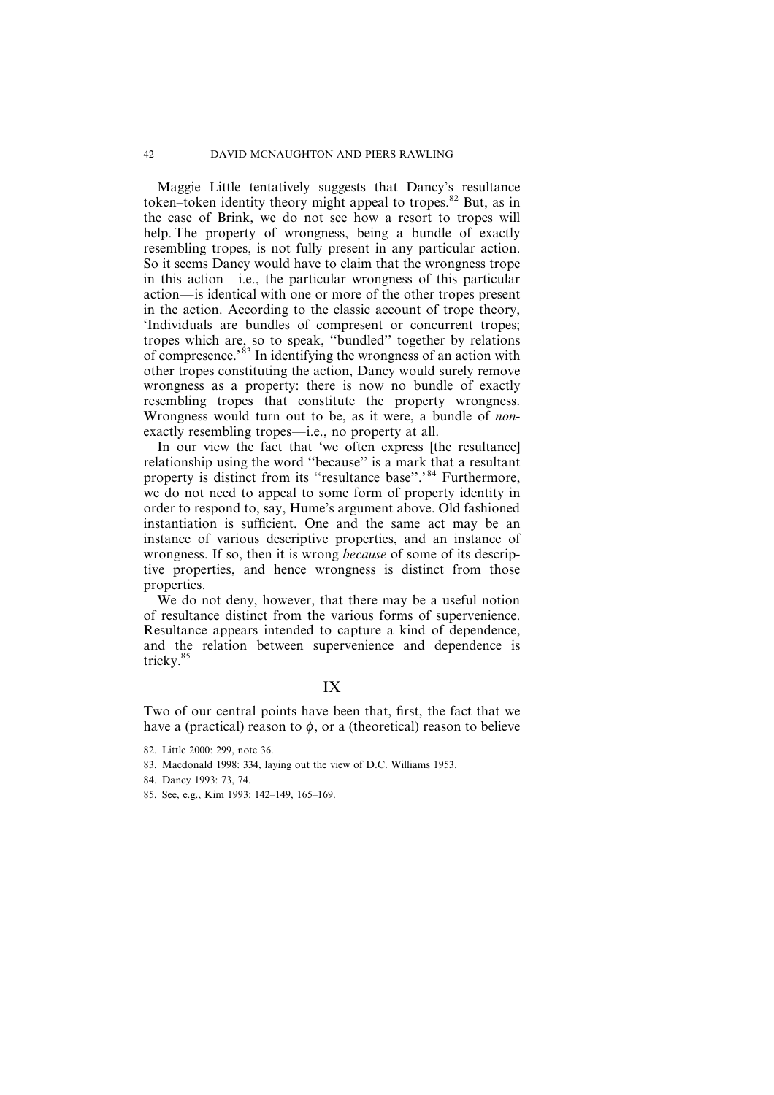Maggie Little tentatively suggests that Dancy's resultance token–token identity theory might appeal to tropes.<sup>82</sup> But, as in the case of Brink, we do not see how a resort to tropes will help. The property of wrongness, being a bundle of exactly resembling tropes, is not fully present in any particular action. So it seems Dancy would have to claim that the wrongness trope in this action—i.e., the particular wrongness of this particular action—is identical with one or more of the other tropes present in the action. According to the classic account of trope theory, 'Individuals are bundles of compresent or concurrent tropes; tropes which are, so to speak, ''bundled'' together by relations of compresence.'<sup>83</sup> In identifying the wrongness of an action with other tropes constituting the action, Dancy would surely remove wrongness as a property: there is now no bundle of exactly resembling tropes that constitute the property wrongness. Wrongness would turn out to be, as it were, a bundle of *non*exactly resembling tropes—i.e., no property at all.

In our view the fact that 'we often express [the resultance] relationship using the word ''because'' is a mark that a resultant property is distinct from its "resultance base".'<sup>84</sup> Furthermore, we do not need to appeal to some form of property identity in order to respond to, say, Hume's argument above. Old fashioned instantiation is sufficient. One and the same act may be an instance of various descriptive properties, and an instance of wrongness. If so, then it is wrong *because* of some of its descriptive properties, and hence wrongness is distinct from those properties.

We do not deny, however, that there may be a useful notion of resultance distinct from the various forms of supervenience. Resultance appears intended to capture a kind of dependence, and the relation between supervenience and dependence is tricky.85

## IX

Two of our central points have been that, first, the fact that we have a (practical) reason to  $\phi$ , or a (theoretical) reason to believe

- 84. Dancy 1993: 73, 74.
- 85. See, e.g., Kim 1993: 142–149, 165–169.

<sup>82.</sup> Little 2000: 299, note 36.

<sup>83.</sup> Macdonald 1998: 334, laying out the view of D.C. Williams 1953.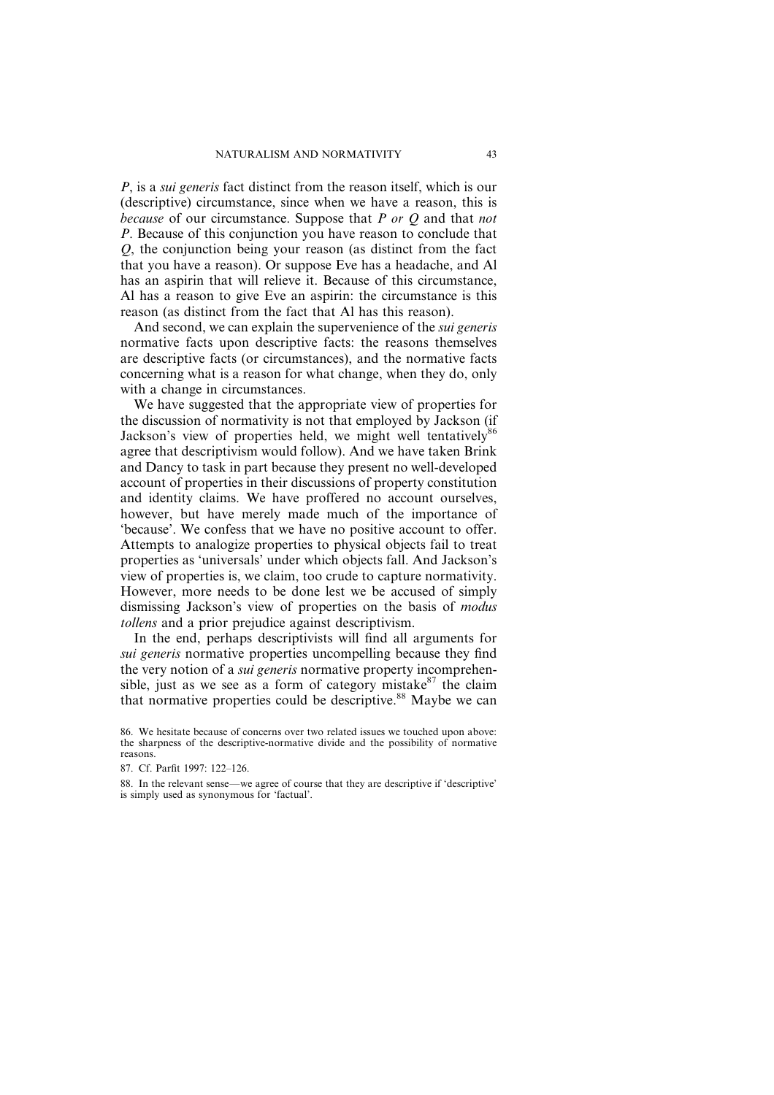*P*, is a *sui generis* fact distinct from the reason itself, which is our (descriptive) circumstance, since when we have a reason, this is *because* of our circumstance. Suppose that *P or Q* and that *not P*. Because of this conjunction you have reason to conclude that *Q*, the conjunction being your reason (as distinct from the fact that you have a reason). Or suppose Eve has a headache, and Al has an aspirin that will relieve it. Because of this circumstance, Al has a reason to give Eve an aspirin: the circumstance is this reason (as distinct from the fact that Al has this reason).

And second, we can explain the supervenience of the *sui generis* normative facts upon descriptive facts: the reasons themselves are descriptive facts (or circumstances), and the normative facts concerning what is a reason for what change, when they do, only with a change in circumstances.

We have suggested that the appropriate view of properties for the discussion of normativity is not that employed by Jackson (if Jackson's view of properties held, we might well tentatively<sup>86</sup> agree that descriptivism would follow). And we have taken Brink and Dancy to task in part because they present no well-developed account of properties in their discussions of property constitution and identity claims. We have proffered no account ourselves, however, but have merely made much of the importance of 'because'. We confess that we have no positive account to offer. Attempts to analogize properties to physical objects fail to treat properties as 'universals' under which objects fall. And Jackson's view of properties is, we claim, too crude to capture normativity. However, more needs to be done lest we be accused of simply dismissing Jackson's view of properties on the basis of *modus tollens* and a prior prejudice against descriptivism.

In the end, perhaps descriptivists will find all arguments for *sui generis* normative properties uncompelling because they find the very notion of a *sui generis* normative property incomprehensible, just as we see as a form of category mistake $87$  the claim that normative properties could be descriptive.<sup>88</sup> Maybe we can

<sup>86.</sup> We hesitate because of concerns over two related issues we touched upon above: the sharpness of the descriptive-normative divide and the possibility of normative reasons.

<sup>87.</sup> Cf. Parfit 1997: 122–126.

<sup>88.</sup> In the relevant sense—we agree of course that they are descriptive if 'descriptive' is simply used as synonymous for 'factual'.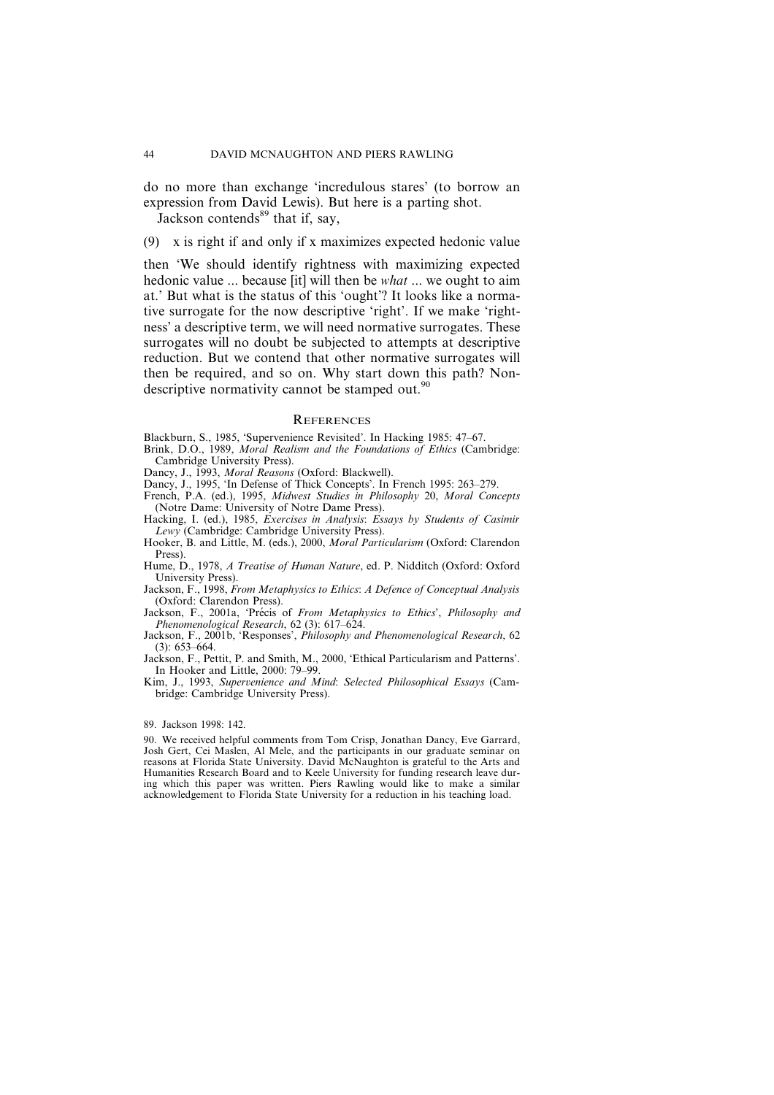do no more than exchange 'incredulous stares' (to borrow an expression from David Lewis). But here is a parting shot.

Jackson contends $^{89}$  that if, say,

(9) x is right if and only if x maximizes expected hedonic value

then 'We should identify rightness with maximizing expected hedonic value ... because [it] will then be *what* ... we ought to aim at.' But what is the status of this 'ought'? It looks like a normative surrogate for the now descriptive 'right'. If we make 'rightness' a descriptive term, we will need normative surrogates. These surrogates will no doubt be subjected to attempts at descriptive reduction. But we contend that other normative surrogates will then be required, and so on. Why start down this path? Nondescriptive normativity cannot be stamped out.<sup>90</sup>

#### **REFERENCES**

- Blackburn, S., 1985, 'Supervenience Revisited'. In Hacking 1985: 47–67.
- Brink, D.O., 1989, *Moral Realism and the Foundations of Ethics* (Cambridge: Cambridge University Press).
- Dancy, J., 1993, *Moral Reasons* (Oxford: Blackwell).
- Dancy, J., 1995, 'In Defense of Thick Concepts'. In French 1995: 263–279.
- French, P.A. (ed.), 1995, *Midwest Studies in Philosophy* 20, *Moral Concepts* (Notre Dame: University of Notre Dame Press).

Hacking, I. (ed.), 1985, *Exercises in Analysis*: *Essays by Students of Casimir Lewy* (Cambridge: Cambridge University Press).

- Hooker, B. and Little, M. (eds.), 2000, *Moral Particularism* (Oxford: Clarendon Press).
- Hume, D., 1978, *A Treatise of Human Nature*, ed. P. Nidditch (Oxford: Oxford University Press).
- Jackson, F., 1998, *From Metaphysics to Ethics*: *A Defence of Conceptual Analysis* (Oxford: Clarendon Press).
- Jackson, F., 2001a, 'Précis of *From Metaphysics to Ethics*', *Philosophy and Phenomenological Research*, 62 (3): 617–624.
- Jackson, F., 2001b, 'Responses', *Philosophy and Phenomenological Research*, 62 (3): 653–664.

Jackson, F., Pettit, P. and Smith, M., 2000, 'Ethical Particularism and Patterns'. In Hooker and Little, 2000: 79–99.

Kim, J., 1993, *Super*û*enience and Mind*: *Selected Philosophical Essays* (Cambridge: Cambridge University Press).

89. Jackson 1998: 142.

90. We received helpful comments from Tom Crisp, Jonathan Dancy, Eve Garrard, Josh Gert, Cei Maslen, Al Mele, and the participants in our graduate seminar on reasons at Florida State University. David McNaughton is grateful to the Arts and Humanities Research Board and to Keele University for funding research leave during which this paper was written. Piers Rawling would like to make a similar acknowledgement to Florida State University for a reduction in his teaching load.